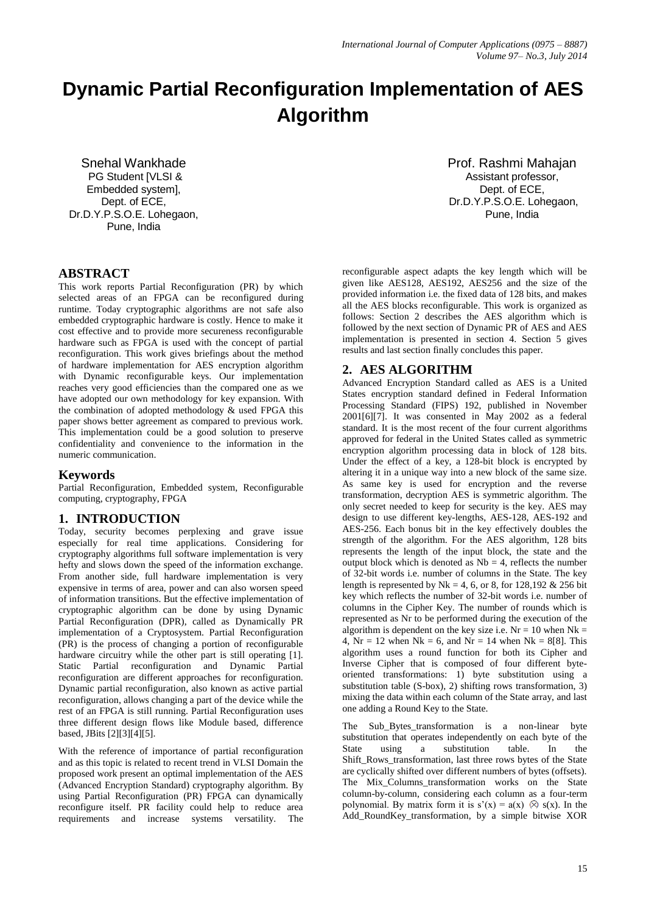# **Dynamic Partial Reconfiguration Implementation of AES Algorithm**

Snehal Wankhade PG Student [VLSI & Embedded system], Dept. of ECE, Dr.D.Y.P.S.O.E. Lohegaon, Pune, India

# **ABSTRACT**

This work reports Partial Reconfiguration (PR) by which selected areas of an FPGA can be reconfigured during runtime. Today cryptographic algorithms are not safe also embedded cryptographic hardware is costly. Hence to make it cost effective and to provide more secureness reconfigurable hardware such as FPGA is used with the concept of partial reconfiguration. This work gives briefings about the method of hardware implementation for AES encryption algorithm with Dynamic reconfigurable keys. Our implementation reaches very good efficiencies than the compared one as we have adopted our own methodology for key expansion. With the combination of adopted methodology & used FPGA this paper shows better agreement as compared to previous work. This implementation could be a good solution to preserve confidentiality and convenience to the information in the numeric communication.

## **Keywords**

Partial Reconfiguration, Embedded system, Reconfigurable computing, cryptography, FPGA

## **1. INTRODUCTION**

Today, security becomes perplexing and grave issue especially for real time applications. Considering for cryptography algorithms full software implementation is very hefty and slows down the speed of the information exchange. From another side, full hardware implementation is very expensive in terms of area, power and can also worsen speed of information transitions. But the effective implementation of cryptographic algorithm can be done by using Dynamic Partial Reconfiguration (DPR), called as Dynamically PR implementation of a Cryptosystem. Partial Reconfiguration (PR) is the process of changing a portion of reconfigurable hardware circuitry while the other part is still operating [1]. Static Partial reconfiguration and Dynamic Partial reconfiguration are different approaches for reconfiguration. Dynamic partial reconfiguration, also known as active partial reconfiguration, allows changing a part of the device while the rest of an FPGA is still running. Partial Reconfiguration uses three different design flows like Module based, difference based, JBits [2][3][4][5].

With the reference of importance of partial reconfiguration and as this topic is related to recent trend in VLSI Domain the proposed work present an optimal implementation of the AES (Advanced Encryption Standard) cryptography algorithm. By using Partial Reconfiguration (PR) FPGA can dynamically reconfigure itself. PR facility could help to reduce area requirements and increase systems versatility. The

Prof. Rashmi Mahajan Assistant professor, Dept. of ECE, Dr.D.Y.P.S.O.E. Lohegaon, Pune, India

reconfigurable aspect adapts the key length which will be given like AES128, AES192, AES256 and the size of the provided information i.e. the fixed data of 128 bits, and makes all the AES blocks reconfigurable. This work is organized as follows: Section 2 describes the AES algorithm which is followed by the next section of Dynamic PR of AES and AES implementation is presented in section 4. Section 5 gives results and last section finally concludes this paper.

# **2. AES ALGORITHM**

Advanced Encryption Standard called as AES is a United States encryption standard defined in Federal Information Processing Standard (FIPS) 192, published in November 2001[6][7]. It was consented in May 2002 as a federal standard. It is the most recent of the four current algorithms approved for federal in the United States called as symmetric encryption algorithm processing data in block of 128 bits. Under the effect of a key, a 128-bit block is encrypted by altering it in a unique way into a new block of the same size. As same key is used for encryption and the reverse transformation, decryption AES is symmetric algorithm. The only secret needed to keep for security is the key. AES may design to use different key-lengths, AES-128, AES-192 and AES-256. Each bonus bit in the key effectively doubles the strength of the algorithm. For the AES algorithm, 128 bits represents the length of the input block, the state and the output block which is denoted as  $Nb = 4$ , reflects the number of 32-bit words i.e. number of columns in the State. The key length is represented by Nk = 4, 6, or 8, for 128,192  $& 256$  bit key which reflects the number of 32-bit words i.e. number of columns in the Cipher Key. The number of rounds which is represented as Nr to be performed during the execution of the algorithm is dependent on the key size i.e.  $Nr = 10$  when  $Nk =$ 4,  $Nr = 12$  when  $Nk = 6$ , and  $Nr = 14$  when  $Nk = 8[8]$ . This algorithm uses a round function for both its Cipher and Inverse Cipher that is composed of four different byteoriented transformations: 1) byte substitution using a substitution table (S-box), 2) shifting rows transformation, 3) mixing the data within each column of the State array, and last one adding a Round Key to the State.

The Sub\_Bytes\_transformation is a non-linear byte substitution that operates independently on each byte of the State using a substitution table. In the Shift\_Rows\_transformation, last three rows bytes of the State are cyclically shifted over different numbers of bytes (offsets). The Mix Columns transformation works on the State column-by-column, considering each column as a four-term polynomial. By matrix form it is  $s'(x) = a(x) \otimes s(x)$ . In the Add\_RoundKey\_transformation, by a simple bitwise XOR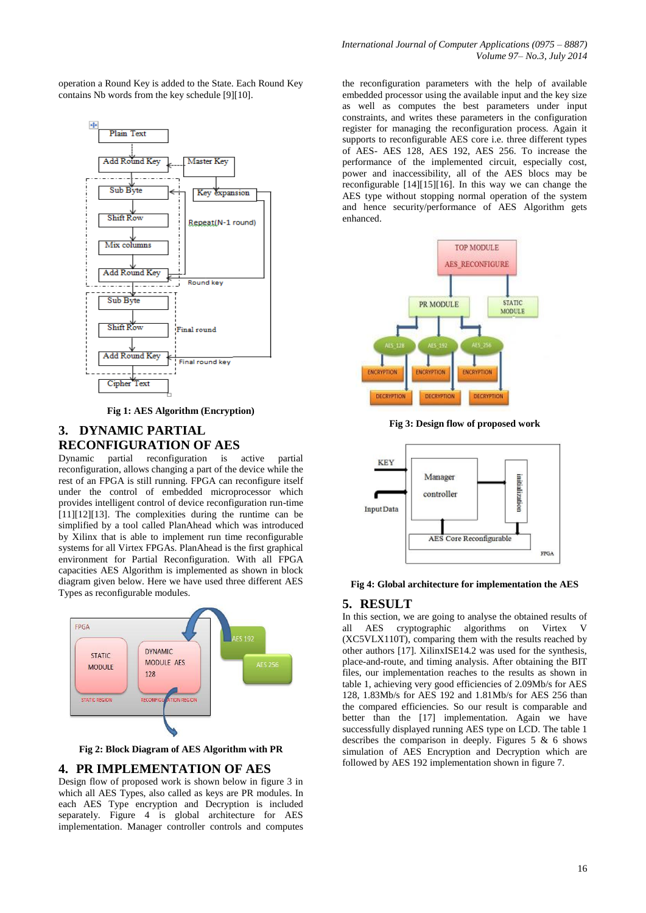operation a Round Key is added to the State. Each Round Key contains Nb words from the key schedule [9][10].



**Fig 1: AES Algorithm (Encryption)**

## **3. DYNAMIC PARTIAL RECONFIGURATION OF AES**

Dynamic partial reconfiguration is active partial reconfiguration, allows changing a part of the device while the rest of an FPGA is still running. FPGA can reconfigure itself under the control of embedded microprocessor which provides intelligent control of device reconfiguration run-time [11][12][13]. The complexities during the runtime can be simplified by a tool called PlanAhead which was introduced by Xilinx that is able to implement run time reconfigurable systems for all Virtex FPGAs. PlanAhead is the first graphical environment for Partial Reconfiguration. With all FPGA capacities AES Algorithm is implemented as shown in block diagram given below. Here we have used three different AES Types as reconfigurable modules.



**Fig 2: Block Diagram of AES Algorithm with PR**

#### **4. PR IMPLEMENTATION OF AES**

Design flow of proposed work is shown below in figure 3 in which all AES Types, also called as keys are PR modules. In each AES Type encryption and Decryption is included separately. Figure 4 is global architecture for AES implementation. Manager controller controls and computes

the reconfiguration parameters with the help of available embedded processor using the available input and the key size as well as computes the best parameters under input constraints, and writes these parameters in the configuration register for managing the reconfiguration process. Again it supports to reconfigurable AES core i.e. three different types of AES- AES 128, AES 192, AES 256. To increase the performance of the implemented circuit, especially cost, power and inaccessibility, all of the AES blocs may be reconfigurable [14][15][16]. In this way we can change the AES type without stopping normal operation of the system and hence security/performance of AES Algorithm gets enhanced.



**Fig 3: Design flow of proposed work**



#### **Fig 4: Global architecture for implementation the AES**

#### **5. RESULT**

In this section, we are going to analyse the obtained results of all AES cryptographic algorithms on Virtex V (XC5VLX110T), comparing them with the results reached by other authors [17]. XilinxISE14.2 was used for the synthesis, place-and-route, and timing analysis. After obtaining the BIT files, our implementation reaches to the results as shown in table 1, achieving very good efficiencies of 2.09Mb/s for AES 128, 1.83Mb/s for AES 192 and 1.81Mb/s for AES 256 than the compared efficiencies. So our result is comparable and better than the [17] implementation. Again we have successfully displayed running AES type on LCD. The table 1 describes the comparison in deeply. Figures  $5 \& 6$  shows simulation of AES Encryption and Decryption which are followed by AES 192 implementation shown in figure 7.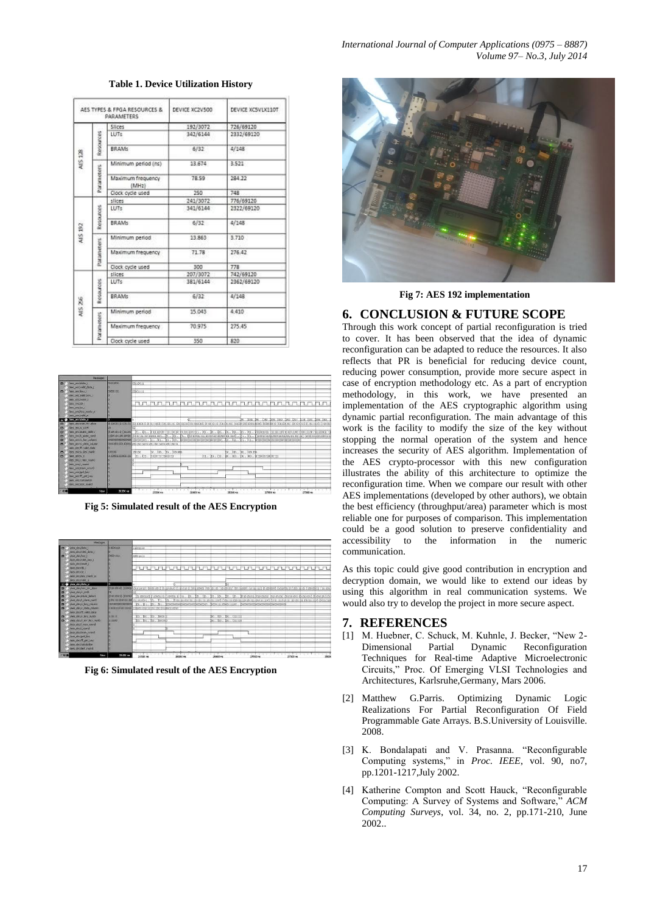|                |            | AES TYPES & FPGA RESOURCES &<br><b>PARAMETERS</b> | DEVICE XC2V500 | DEVICE XCSVLX110T |  |  |  |
|----------------|------------|---------------------------------------------------|----------------|-------------------|--|--|--|
|                |            | Slices                                            | 192/3072       | 726/69120         |  |  |  |
|                |            | LUTs.                                             | 342/6144       | 2332/69120        |  |  |  |
| <b>AUS 128</b> | Resources  | <b>BRAMs</b>                                      | 6/32           | 4/148             |  |  |  |
|                |            | Minimum period (ns)                               | 13.674         | 3.521             |  |  |  |
|                | Parameters | Maximum frequency<br>(MHz)                        | <b>78.59</b>   | 284.22            |  |  |  |
|                |            | Clock cycle used                                  | 250            | 748               |  |  |  |
|                |            | slices                                            | 241/3072       | 776/69120         |  |  |  |
|                |            | LUTs                                              | 341/6144       | 2322/69120        |  |  |  |
|                | Resources  | <b>BRAMs</b>                                      | 6/32           | 4/148             |  |  |  |
| COT STV        |            | Minimum period                                    | 13,863         | 3.710             |  |  |  |
|                | Parameters | Maximum frequency                                 | 71.78          | 276.42            |  |  |  |
|                |            | Clock cycle used                                  | 300            | 778               |  |  |  |
|                |            | slices                                            | 207/3072       | 742/69120         |  |  |  |
|                |            | LUTs                                              | 381/6144       | 2362/69120        |  |  |  |
|                | Resources  | <b>BRAMs</b>                                      | 6/32           | 4/148             |  |  |  |
| NIS 26         |            | Minimum period                                    | 15.043         | 4 4 1 0           |  |  |  |
|                | Parameters | Maximum frequency                                 | 70.975         | 275.45            |  |  |  |
|                |            | Clock cycle used                                  | 550            | 820               |  |  |  |

#### **Table 1. Device Utilization History**

|                | Juan arsoldate a<br>hen enclosed data i<br>Лива изследу з<br>loes enchalled key i<br><b>Castle Arts Pennet (1)</b> | COLLODIA<br>00001111                                                                                                                                          | 03133311 |                              |                           |                                                                                   |  |  |                                                             |                     |  |  |                                           |  |
|----------------|--------------------------------------------------------------------------------------------------------------------|---------------------------------------------------------------------------------------------------------------------------------------------------------------|----------|------------------------------|---------------------------|-----------------------------------------------------------------------------------|--|--|-------------------------------------------------------------|---------------------|--|--|-------------------------------------------|--|
| $\sigma$ .     |                                                                                                                    |                                                                                                                                                               | 0001111  |                              |                           |                                                                                   |  |  |                                                             |                     |  |  |                                           |  |
|                |                                                                                                                    |                                                                                                                                                               |          |                              |                           |                                                                                   |  |  |                                                             |                     |  |  |                                           |  |
|                | (ses encicle )                                                                                                     |                                                                                                                                                               |          | tatan hainan haringin hainan |                           |                                                                                   |  |  |                                                             |                     |  |  |                                           |  |
|                | faux anglos i<br>des enclos yeady o                                                                                |                                                                                                                                                               |          |                              |                           |                                                                                   |  |  |                                                             |                     |  |  |                                           |  |
|                | aux argressi o                                                                                                     |                                                                                                                                                               |          |                              |                           |                                                                                   |  |  |                                                             |                     |  |  |                                           |  |
|                | lees enclose o                                                                                                     |                                                                                                                                                               |          |                              |                           |                                                                                   |  |  |                                                             | is ira in           |  |  | fits bos lite box fits fits lize bos liv- |  |
|                | her unchan fiv above                                                                                               | (DECEMBER 1988) TO HOLD AND TO HOLD AT THE COLOR DEPARTMENT AND DESCRIPTION OF CONTRACTOR CONTRACTOR OF A STATEFORM AND                                       |          |                              |                           |                                                                                   |  |  |                                                             |                     |  |  |                                           |  |
|                | ties enciv onte                                                                                                    |                                                                                                                                                               |          |                              |                           |                                                                                   |  |  |                                                             |                     |  |  |                                           |  |
|                | Enklot statutors can                                                                                               |                                                                                                                                                               |          |                              |                           |                                                                                   |  |  |                                                             |                     |  |  |                                           |  |
| ь.             | hes encit state rand:<br>and anciv bay column                                                                      | (2008) 911300 92000 (солота прависе под., 151., 155., По., Процесса на прибедение событа 11100 . 311., 311., Парова на собора под было не на 11) (зраза завоз |          |                              |                           |                                                                                   |  |  |                                                             |                     |  |  |                                           |  |
| <b>DECK</b>    | tees enciv data column                                                                                             |                                                                                                                                                               |          |                              |                           |                                                                                   |  |  |                                                             |                     |  |  |                                           |  |
|                | am_arg/ff_vald_data                                                                                                |                                                                                                                                                               |          |                              |                           |                                                                                   |  |  |                                                             |                     |  |  |                                           |  |
| в              | loes encly key minb                                                                                                | 101100                                                                                                                                                        | 300300   |                              | [21., 1tp., 1tp., 1tp:cop |                                                                                   |  |  |                                                             | [21 ]10 [10 ]101100 |  |  |                                           |  |
| n <sup>2</sup> | Australian                                                                                                         | 0110001100001111 11. 01. 02. 020111112000120                                                                                                                  |          |                              |                           |                                                                                   |  |  | J11., 103., (3)., (0)., (0)., (0)., (0)., (0130001300001111 |                     |  |  |                                           |  |
|                | Oes enclimax round                                                                                                 |                                                                                                                                                               |          |                              |                           |                                                                                   |  |  |                                                             |                     |  |  |                                           |  |
|                | feas and round                                                                                                     |                                                                                                                                                               |          |                              |                           |                                                                                   |  |  |                                                             |                     |  |  |                                           |  |
|                | lacy encision wrent.                                                                                               |                                                                                                                                                               |          |                              |                           |                                                                                   |  |  |                                                             |                     |  |  |                                           |  |
|                | fame ainclipat long                                                                                                |                                                                                                                                                               |          |                              |                           |                                                                                   |  |  |                                                             |                     |  |  |                                           |  |
|                | Oes encit get key<br>last argicalisation                                                                           |                                                                                                                                                               |          |                              |                           |                                                                                   |  |  |                                                             |                     |  |  |                                           |  |
|                | lass enclose round                                                                                                 |                                                                                                                                                               |          |                              |                           |                                                                                   |  |  |                                                             |                     |  |  |                                           |  |
|                |                                                                                                                    |                                                                                                                                                               |          |                              |                           | man the basis of the manufacturer of the country of the control of the control of |  |  |                                                             |                     |  |  |                                           |  |
|                | <b>Billeton</b>                                                                                                    | 38.553.44                                                                                                                                                     |          | T 1                          |                           |                                                                                   |  |  |                                                             |                     |  |  |                                           |  |

**Fig 5: Simulated result of the AES Encryption**



**Fig 6: Simulated result of the AES Encryption**



**Fig 7: AES 192 implementation**

## **6. CONCLUSION & FUTURE SCOPE**

Through this work concept of partial reconfiguration is tried to cover. It has been observed that the idea of dynamic reconfiguration can be adapted to reduce the resources. It also reflects that PR is beneficial for reducing device count, reducing power consumption, provide more secure aspect in case of encryption methodology etc. As a part of encryption methodology, in this work, we have presented an implementation of the AES cryptographic algorithm using dynamic partial reconfiguration. The main advantage of this work is the facility to modify the size of the key without stopping the normal operation of the system and hence increases the security of AES algorithm. Implementation of the AES crypto-processor with this new configuration illustrates the ability of this architecture to optimize the reconfiguration time. When we compare our result with other AES implementations (developed by other authors), we obtain the best efficiency (throughput/area) parameter which is most reliable one for purposes of comparison. This implementation could be a good solution to preserve confidentiality and to the information in the numeric communication.

As this topic could give good contribution in encryption and decryption domain, we would like to extend our ideas by using this algorithm in real communication systems. We would also try to develop the project in more secure aspect.

## **7. REFERENCES**

- [1] M. Huebner, C. Schuck, M. Kuhnle, J. Becker, "New 2-Dimensional Partial Dynamic Reconfiguration Techniques for Real-time Adaptive Microelectronic Circuits," Proc. Of Emerging VLSI Technologies and Architectures, Karlsruhe,Germany, Mars 2006.
- [2] Matthew G.Parris. Optimizing Dynamic Logic Realizations For Partial Reconfiguration Of Field Programmable Gate Arrays. B.S.University of Louisville. 2008.
- [3] K. Bondalapati and V. Prasanna. "Reconfigurable Computing systems," in *Proc. IEEE*, vol. 90, no7, pp.1201-1217,July 2002.
- [4] Katherine Compton and Scott Hauck, "Reconfigurable Computing: A Survey of Systems and Software," *ACM Computing Surveys*, vol. 34, no. 2, pp.171-210, June 2002..